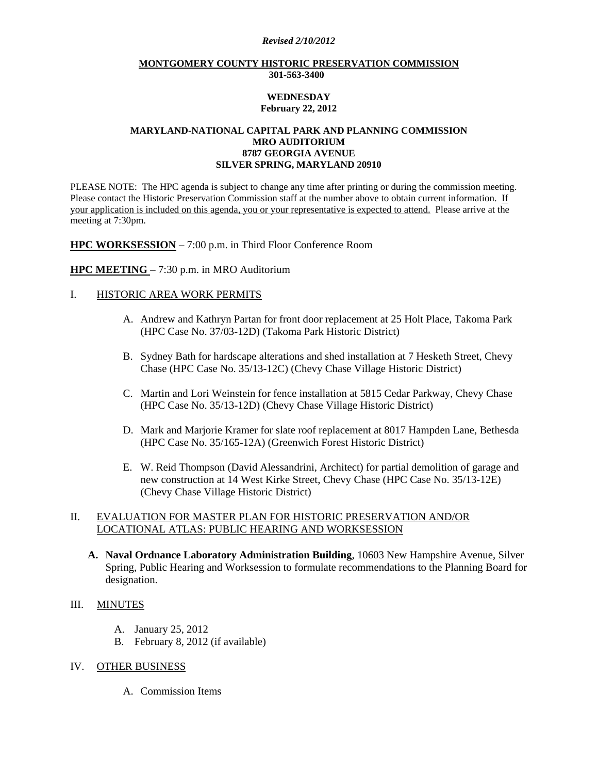#### *Revised 2/10/2012*

#### **MONTGOMERY COUNTY HISTORIC PRESERVATION COMMISSION 301-563-3400**

#### **WEDNESDAY February 22, 2012**

## **MARYLAND-NATIONAL CAPITAL PARK AND PLANNING COMMISSION MRO AUDITORIUM 8787 GEORGIA AVENUE SILVER SPRING, MARYLAND 20910**

PLEASE NOTE: The HPC agenda is subject to change any time after printing or during the commission meeting. Please contact the Historic Preservation Commission staff at the number above to obtain current information. If your application is included on this agenda, you or your representative is expected to attend. Please arrive at the meeting at 7:30pm.

**HPC WORKSESSION** – 7:00 p.m. in Third Floor Conference Room

#### **HPC MEETING** – 7:30 p.m. in MRO Auditorium

## I. HISTORIC AREA WORK PERMITS

- A. Andrew and Kathryn Partan for front door replacement at 25 Holt Place, Takoma Park (HPC Case No. 37/03-12D) (Takoma Park Historic District)
- B. Sydney Bath for hardscape alterations and shed installation at 7 Hesketh Street, Chevy Chase (HPC Case No. 35/13-12C) (Chevy Chase Village Historic District)
- C. Martin and Lori Weinstein for fence installation at 5815 Cedar Parkway, Chevy Chase (HPC Case No. 35/13-12D) (Chevy Chase Village Historic District)
- D. Mark and Marjorie Kramer for slate roof replacement at 8017 Hampden Lane, Bethesda (HPC Case No. 35/165-12A) (Greenwich Forest Historic District)
- E. W. Reid Thompson (David Alessandrini, Architect) for partial demolition of garage and new construction at 14 West Kirke Street, Chevy Chase (HPC Case No. 35/13-12E) (Chevy Chase Village Historic District)

# II. EVALUATION FOR MASTER PLAN FOR HISTORIC PRESERVATION AND/OR LOCATIONAL ATLAS: PUBLIC HEARING AND WORKSESSION

**A. Naval Ordnance Laboratory Administration Building**, 10603 New Hampshire Avenue, Silver Spring, Public Hearing and Worksession to formulate recommendations to the Planning Board for designation.

### III. MINUTES

- A. January 25, 2012
- B. February 8, 2012 (if available)

# IV. OTHER BUSINESS

A. Commission Items